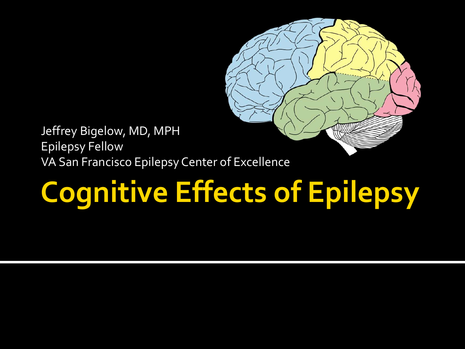

Jeffrey Bigelow, MD, MPH Epilepsy Fellow VA San Francisco Epilepsy Center of Excellence

# **Cognitive Effects of Epilepsy**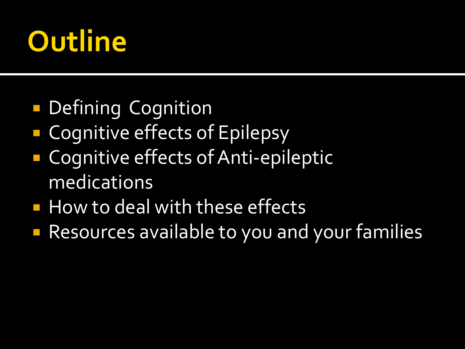# **Outline**

- **Defining Cognition**
- Cognitive effects of Epilepsy
- **Cognitive effects of Anti-epileptic** medications
- **How to deal with these effects**
- **Resources available to you and your families**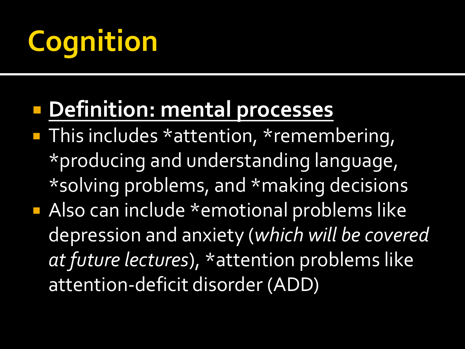# **Cognition**

### **Definition: mental processes**

- **This includes \*attention, \*remembering,** \*producing and understanding language, \*solving problems, and \*making decisions
- **Also can include \*emotional problems like** depression and anxiety (*which will be covered at future lectures*), \*attention problems like attention-deficit disorder (ADD)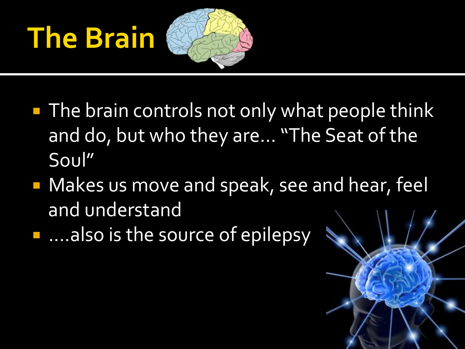# **The Brain**



- **The brain controls not only what people think** and do, but who they are... "The Seat of the Soul"
- **Makes us move and speak, see and hear, feel** and understand
- **E....also is the source of epilepsy**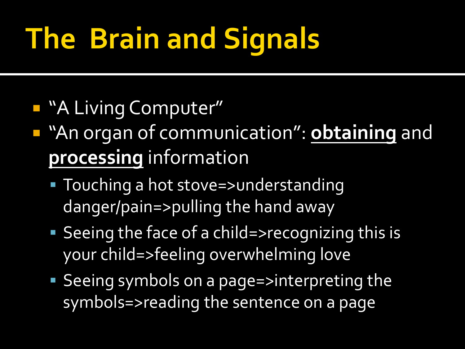# **The Brain and Signals**

- **A Living Computer"**
- "An organ of communication": **obtaining** and **processing** information
	- Touching a hot stove=>understanding danger/pain=>pulling the hand away
	- Seeing the face of a child=>recognizing this is your child=>feeling overwhelming love
	- Seeing symbols on a page=>interpreting the symbols=>reading the sentence on a page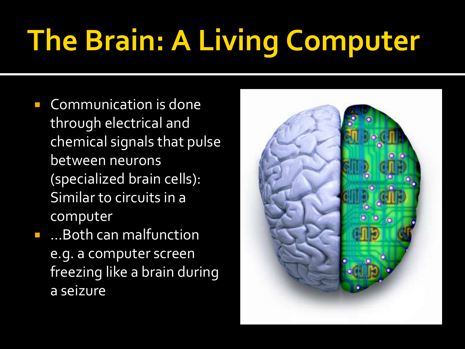# **The Brain: A Living Computer**

- **Communication is done** through electrical and chemical signals that pulse between neurons (specialized brain cells): Similar to circuits in a computer
- **.** ...Both can malfunction e.g. a computer screen freezing like a brain during a seizure

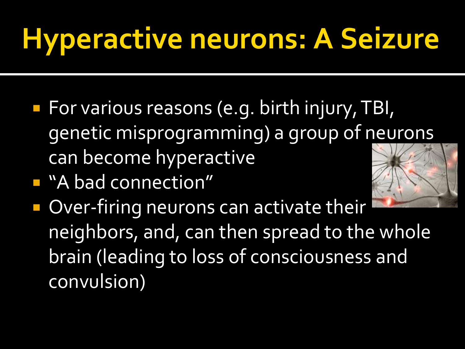# **Hyperactive neurons: A Seizure**

- **For various reasons (e.g. birth injury, TBI,** genetic misprogramming) a group of neurons can become hyperactive
- "A bad connection"



Over-firing neurons can activate their neighbors, and, can then spread to the whole brain (leading to loss of consciousness and convulsion)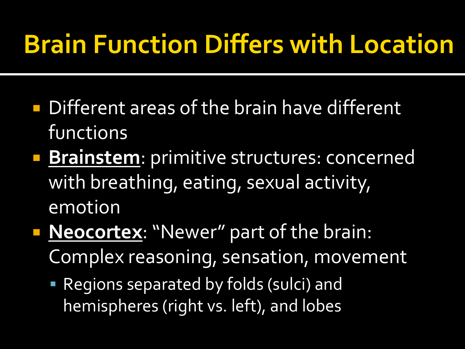### **Brain Function Differs with Location**

- **Different areas of the brain have different** functions
- **Brainstem:** primitive structures: concerned with breathing, eating, sexual activity, emotion
- **Neocortex: "Newer" part of the brain:** Complex reasoning, sensation, movement
	- Regions separated by folds (sulci) and hemispheres (right vs. left), and lobes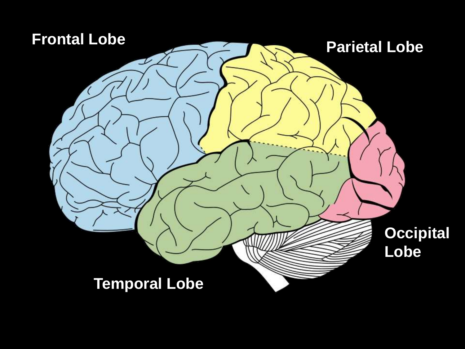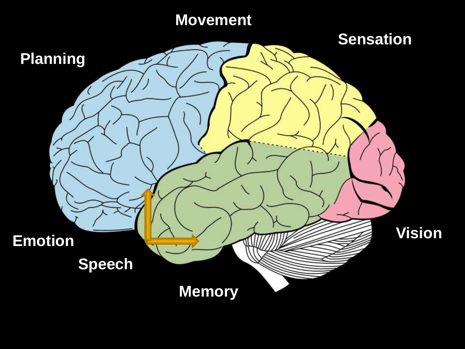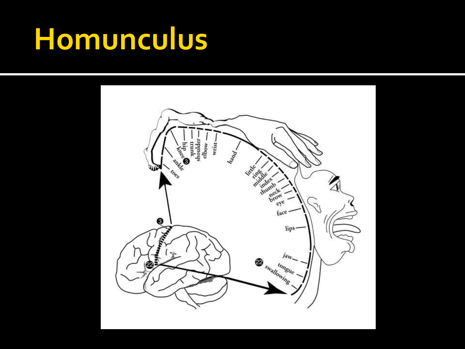## **Homunculus**

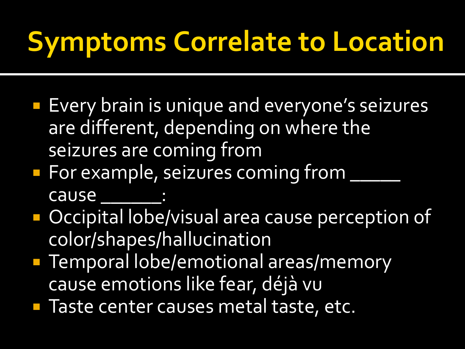# **Symptoms Correlate to Location**

- **Every brain is unique and everyone's seizures** are different, depending on where the seizures are coming from
- **For example, seizures coming from**  $\frac{1}{\sqrt{2\pi}}$  $\overline{\phantom{a}}$ cause
- **Occipital lobe/visual area cause perception of** color/shapes/hallucination
- **Temporal lobe/emotional areas/memory** cause emotions like fear, déjà vu
- **Taste center causes metal taste, etc.**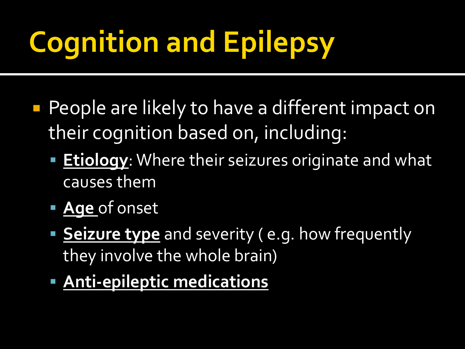# **Cognition and Epilepsy**

- **People are likely to have a different impact on** their cognition based on, including:
	- **Etiology:** Where their seizures originate and what causes them
	- **Age** of onset
	- **Seizure type** and severity ( e.g. how frequently they involve the whole brain)
	- **Anti-epileptic medications**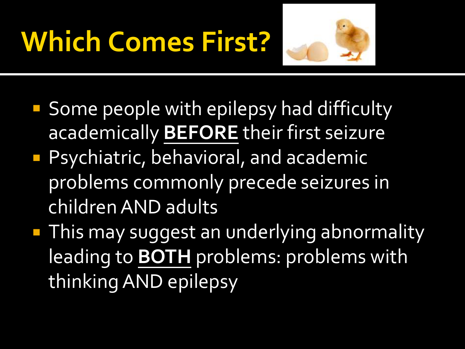# **Which Comes First?**



- **Some people with epilepsy had difficulty** academically **BEFORE** their first seizure
- **Psychiatric, behavioral, and academic** problems commonly precede seizures in children AND adults
- **This may suggest an underlying abnormality** leading to **BOTH** problems: problems with thinking AND epilepsy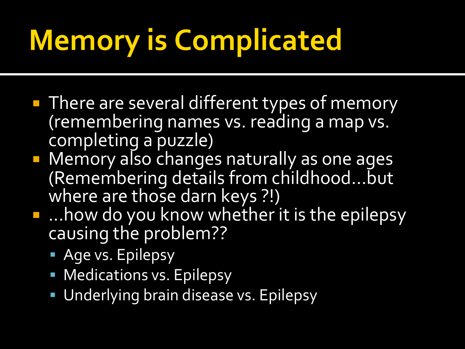# **Memory is Complicated**

- **There are several different types of memory** (remembering names vs. reading a map vs. completing a puzzle)
- **Nemory also changes naturally as one ages** (Remembering details from childhood...but where are those darn keys ?!)
- **...how do you know whether it is the epilepsy** causing the problem??
	- **Age vs. Epilepsy**
	- **Medications vs. Epilepsy**
	- **Underlying brain disease vs. Epilepsy**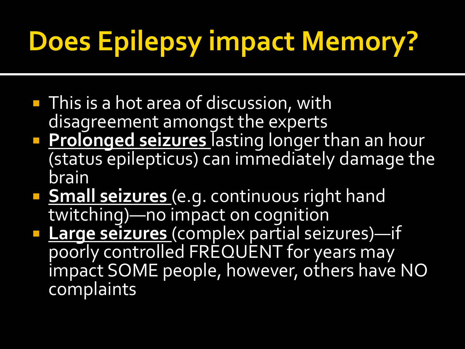# **Does Epilepsy impact Memory?**

- **This is a hot area of discussion, with** disagreement amongst the experts
- **Prolonged seizures** lasting longer than an hour (status epilepticus) can immediately damage the brain
- **Small seizures** (e.g. continuous right hand twitching)—no impact on cognition
- **Large seizures** (complex partial seizures)—if poorly controlled FREQUENT for years may impact SOME people, however, others have NO complaints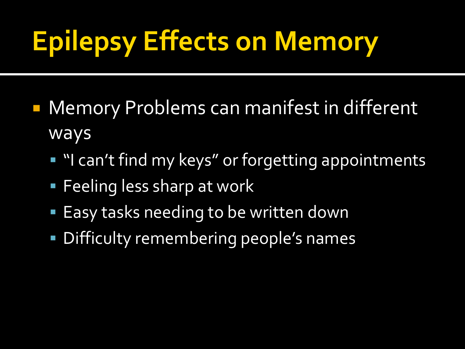# **Epilepsy Effects on Memory**

- **Memory Problems can manifest in different** ways
	- **"** "I can't find my keys" or forgetting appointments
	- **Feeling less sharp at work**
	- Easy tasks needing to be written down
	- **Difficulty remembering people's names**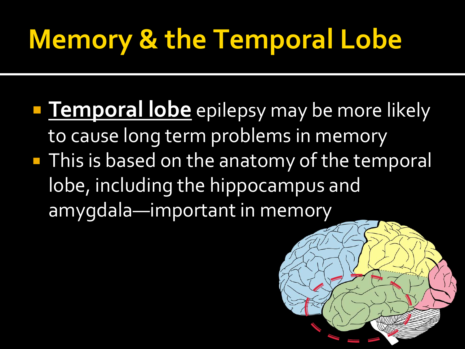## **Memory & the Temporal Lobe**

**Temporal lobe** epilepsy may be more likely to cause long term problems in memory **This is based on the anatomy of the temporal** lobe, including the hippocampus and amygdala—important in memory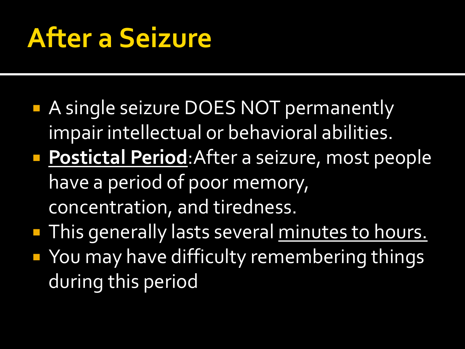## **After a Seizure**

- **A single seizure DOES NOT permanently** impair intellectual or behavioral abilities.
- **Postictal Period:**After a seizure, most people have a period of poor memory, concentration, and tiredness.
- **This generally lasts several minutes to hours. • You may have difficulty remembering things** during this period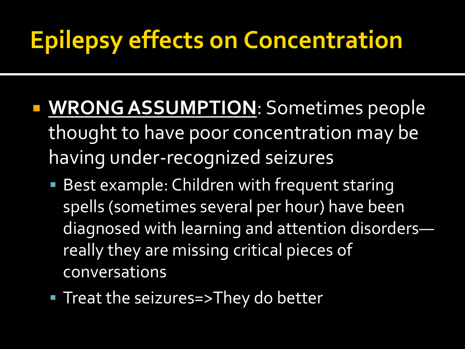### **Epilepsy effects on Concentration**

- **WRONG ASSUMPTION**: Sometimes people thought to have poor concentration may be having under-recognized seizures
	- **Best example: Children with frequent staring** spells (sometimes several per hour) have been diagnosed with learning and attention disorders really they are missing critical pieces of conversations
	- **Treat the seizures=>They do better**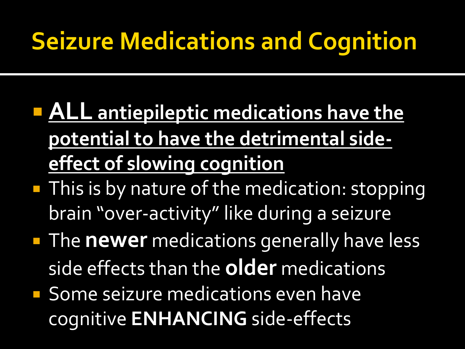### **Seizure Medications and Cognition**

- **ALL antiepileptic medications have the potential to have the detrimental sideeffect of slowing cognition**
- **This is by nature of the medication: stopping** brain "over-activity" like during a seizure
- **The newer** medications generally have less side effects than the **older** medications
- **Some seizure medications even have** cognitive **ENHANCING** side-effects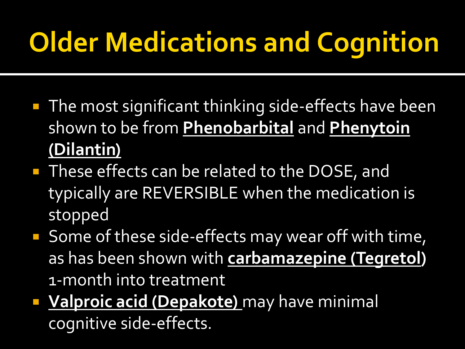# **Older Medications and Cognition**

- **The most significant thinking side-effects have been** shown to be from **Phenobarbital** and **Phenytoin (Dilantin)**
- **These effects can be related to the DOSE, and** typically are REVERSIBLE when the medication is stopped
- Some of these side-effects may wear off with time, as has been shown with **carbamazepine (Tegretol)**  1-month into treatment
- **Valproic acid (Depakote)** may have minimal cognitive side-effects.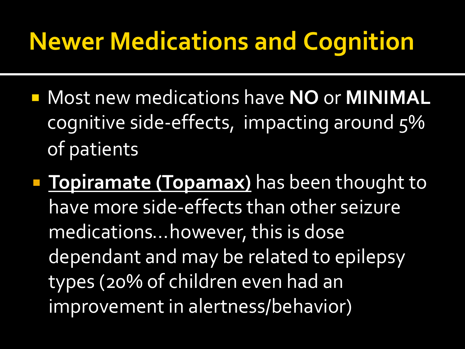### **Newer Medications and Cognition**

- Most new medications have **NO** or **MINIMAL** cognitive side-effects, impacting around 5% of patients
- **Topiramate (Topamax)** has been thought to have more side-effects than other seizure medications...however, this is dose dependant and may be related to epilepsy types (20% of children even had an improvement in alertness/behavior)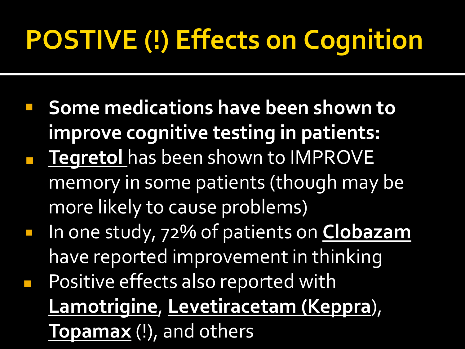# **POSTIVE (!) Effects on Cognition**

- **F** Some medications have been shown to **improve cognitive testing in patients: Tegretol has been shown to IMPROVE** memory in some patients (though may be more likely to cause problems)
- In one study, 72% of patients on **Clobazam** have reported improvement in thinking
- Positive effects also reported with **Lamotrigine**, **Levetiracetam (Keppra**), **Topamax** (!), and others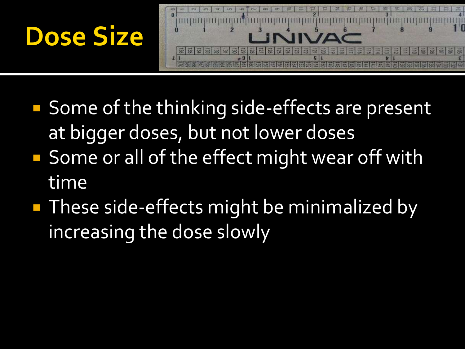



- Some of the thinking side-effects are present at bigger doses, but not lower doses
- **Some or all of the effect might wear off with** time
- **These side-effects might be minimalized by** increasing the dose slowly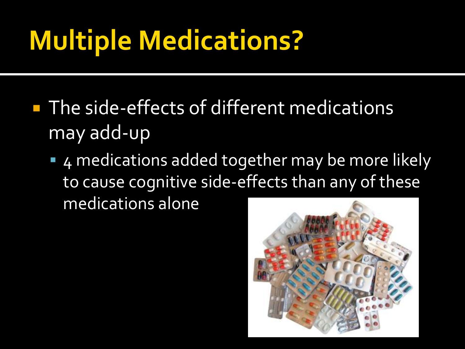## **Multiple Medications?**

- **The side-effects of different medications** may add-up
	- 4 medications added together may be more likely to cause cognitive side-effects than any of these medications alone

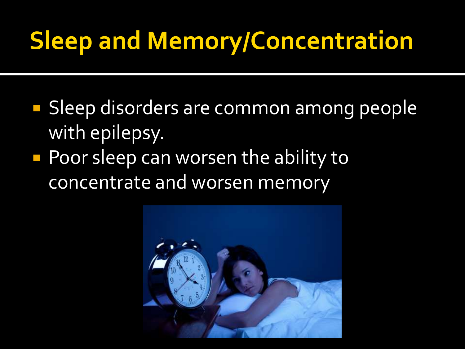### **Sleep and Memory/Concentration**

- **Sleep disorders are common among people** with epilepsy.
- **Poor sleep can worsen the ability to** concentrate and worsen memory

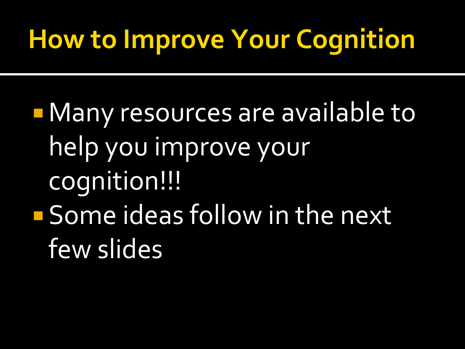## **How to Improve Your Cognition**

**Nany resources are available to** help you improve your cognition!!! **Some ideas follow in the next** few slides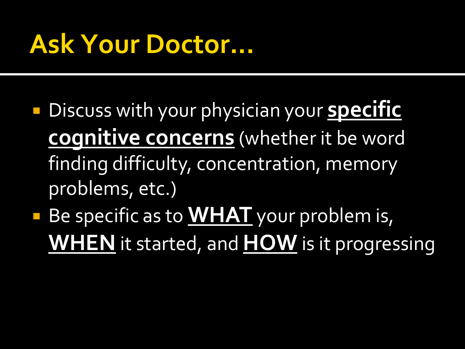### **Ask Your Doctor...**

- **Discuss with your physician your specific cognitive concerns** (whether it be word finding difficulty, concentration, memory problems, etc.)
- **Be specific as to WHAT** your problem is, **WHEN** it started, and **HOW** is it progressing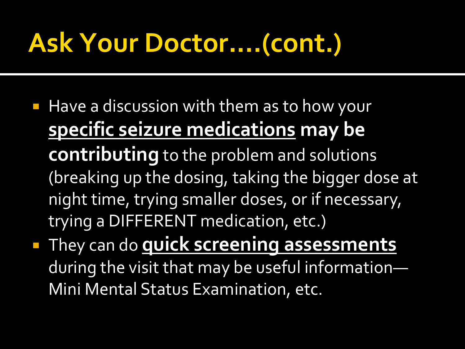### **Ask Your Doctor....(cont.)**

- **Have a discussion with them as to how your specific seizure medications may be contributing** to the problem and solutions (breaking up the dosing, taking the bigger dose at night time, trying smaller doses, or if necessary, trying a DIFFERENT medication, etc.)
- **They can do quick screening assessments** during the visit that may be useful information— Mini Mental Status Examination, etc.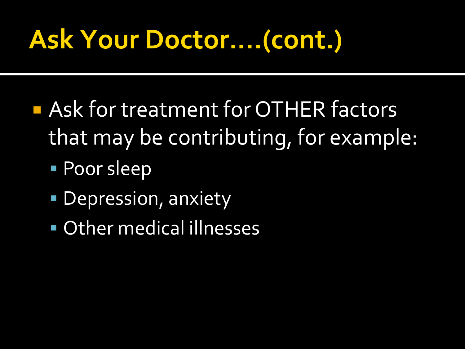## **Ask Your Doctor....(cont.)**

- **Readment for OTHER factors** that may be contributing, for example:
	- **Poor sleep**
	- **Depression, anxiety**
	- Other medical illnesses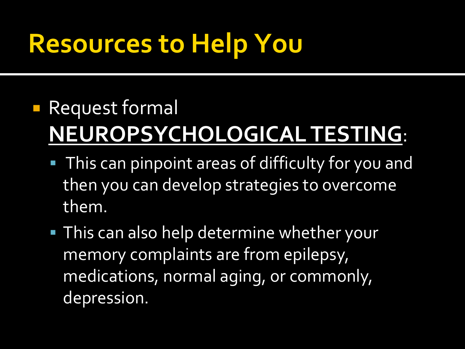## **Resources to Help You**

#### **Request formal NEUROPSYCHOLOGICAL TESTING**:

- **This can pinpoint areas of difficulty for you and** then you can develop strategies to overcome them.
- **This can also help determine whether your** memory complaints are from epilepsy, medications, normal aging, or commonly, depression.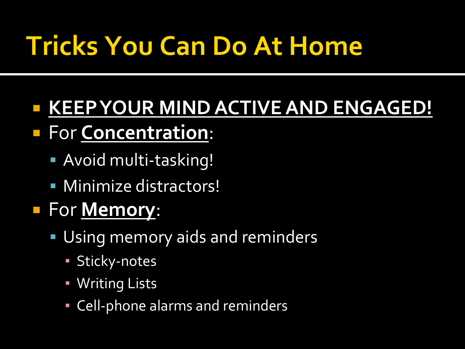## **Tricks You Can Do At Home**

### **KEEP YOUR MIND ACTIVE AND ENGAGED!**

- For **Concentration**:
	- Avoid multi-tasking!
	- Minimize distractors!

#### For **Memory**:

- Using memory aids and reminders
	- **· Sticky-notes**
	- **· Writing Lists**
	- **Cell-phone alarms and reminders**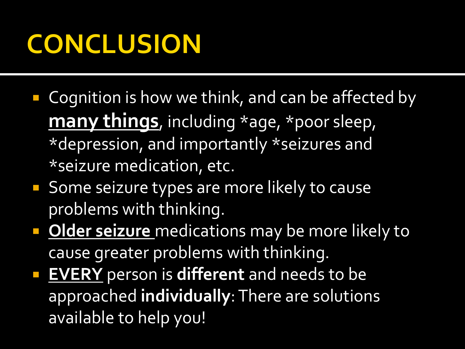### **CONCLUSION**

- Cognition is how we think, and can be affected by **many things**, including \*age, \*poor sleep, \*depression, and importantly \*seizures and \*seizure medication, etc.
- Some seizure types are more likely to cause problems with thinking.
- **Dider seizure** medications may be more likely to cause greater problems with thinking.
- **EVERY** person is **different** and needs to be approached **individually**: There are solutions available to help you!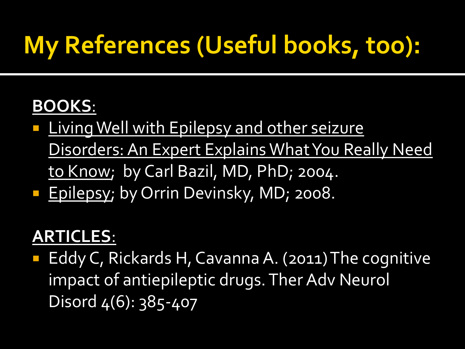### **My References (Useful books, too):**

#### **BOOKS**:

- **Living Well with Epilepsy and other seizure** Disorders: An Expert Explains What You Really Need to Know; by Carl Bazil, MD, PhD; 2004.
- **Epilepsy; by Orrin Devinsky, MD; 2008.**

#### **ARTICLES**:

■ Eddy C, Rickards H, Cavanna A. (2011) The cognitive impact of antiepileptic drugs. Ther Adv Neurol Disord 4(6): 385-407